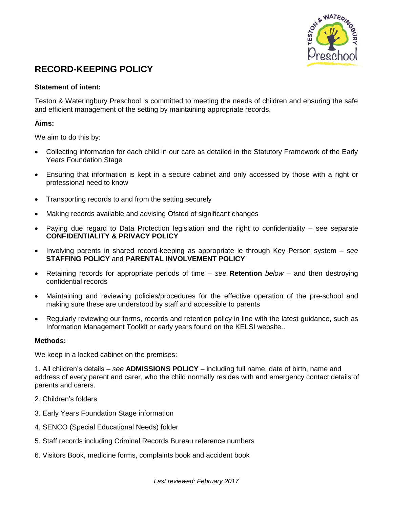

# **RECORD-KEEPING POLICY**

### **Statement of intent:**

Teston & Wateringbury Preschool is committed to meeting the needs of children and ensuring the safe and efficient management of the setting by maintaining appropriate records.

## **Aims:**

We aim to do this by:

- Collecting information for each child in our care as detailed in the Statutory Framework of the Early Years Foundation Stage
- Ensuring that information is kept in a secure cabinet and only accessed by those with a right or professional need to know
- Transporting records to and from the setting securely
- Making records available and advising Ofsted of significant changes
- Paying due regard to Data Protection legislation and the right to confidentiality see separate **CONFIDENTIALITY & PRIVACY POLICY**
- Involving parents in shared record-keeping as appropriate ie through Key Person system *see* **STAFFING POLICY** and **PARENTAL INVOLVEMENT POLICY**
- Retaining records for appropriate periods of time *see* **Retention** *below* and then destroying confidential records
- Maintaining and reviewing policies/procedures for the effective operation of the pre-school and making sure these are understood by staff and accessible to parents
- Regularly reviewing our forms, records and retention policy in line with the latest guidance, such as Information Management Toolkit or early years found on the KELSI website..

#### **Methods:**

We keep in a locked cabinet on the premises:

1. All children's details – *see* **ADMISSIONS POLICY** – including full name, date of birth, name and address of every parent and carer, who the child normally resides with and emergency contact details of parents and carers.

- 2. Children's folders
- 3. Early Years Foundation Stage information
- 4. SENCO (Special Educational Needs) folder
- 5. Staff records including Criminal Records Bureau reference numbers
- 6. Visitors Book, medicine forms, complaints book and accident book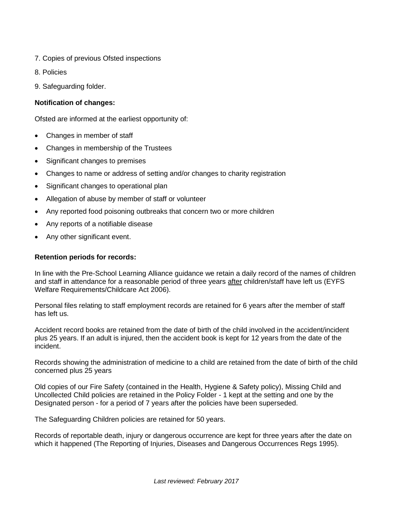- 7. Copies of previous Ofsted inspections
- 8. Policies
- 9. Safeguarding folder.

# **Notification of changes:**

Ofsted are informed at the earliest opportunity of:

- Changes in member of staff
- Changes in membership of the Trustees
- Significant changes to premises
- Changes to name or address of setting and/or changes to charity registration
- Significant changes to operational plan
- Allegation of abuse by member of staff or volunteer
- Any reported food poisoning outbreaks that concern two or more children
- Any reports of a notifiable disease
- Any other significant event.

## **Retention periods for records:**

In line with the Pre-School Learning Alliance guidance we retain a daily record of the names of children and staff in attendance for a reasonable period of three years after children/staff have left us (EYFS Welfare Requirements/Childcare Act 2006).

Personal files relating to staff employment records are retained for 6 years after the member of staff has left us.

Accident record books are retained from the date of birth of the child involved in the accident/incident plus 25 years. If an adult is injured, then the accident book is kept for 12 years from the date of the incident.

Records showing the administration of medicine to a child are retained from the date of birth of the child concerned plus 25 years

Old copies of our Fire Safety (contained in the Health, Hygiene & Safety policy), Missing Child and Uncollected Child policies are retained in the Policy Folder - 1 kept at the setting and one by the Designated person - for a period of 7 years after the policies have been superseded.

The Safeguarding Children policies are retained for 50 years.

Records of reportable death, injury or dangerous occurrence are kept for three years after the date on which it happened (The Reporting of Injuries, Diseases and Dangerous Occurrences Regs 1995).